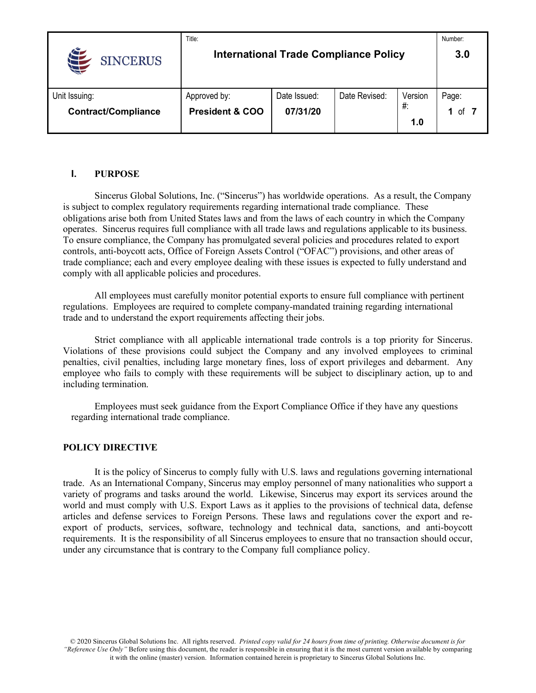|                               | Title:                     |                                              |               |         | Number: |
|-------------------------------|----------------------------|----------------------------------------------|---------------|---------|---------|
| $\epsilon$<br><b>SINCERUS</b> |                            | <b>International Trade Compliance Policy</b> |               |         | 3.0     |
| Unit Issuing:                 | Approved by:               | Date Issued:                                 | Date Revised: | Version | Page:   |
| <b>Contract/Compliance</b>    | <b>President &amp; COO</b> | 07/31/20                                     |               | $#$ :   | of<br>1 |
|                               |                            |                                              |               | 1.0     |         |

### **I. PURPOSE**

Sincerus Global Solutions, Inc. ("Sincerus") has worldwide operations. As a result, the Company is subject to complex regulatory requirements regarding international trade compliance. These obligations arise both from United States laws and from the laws of each country in which the Company operates. Sincerus requires full compliance with all trade laws and regulations applicable to its business. To ensure compliance, the Company has promulgated several policies and procedures related to export controls, anti-boycott acts, Office of Foreign Assets Control ("OFAC") provisions, and other areas of trade compliance; each and every employee dealing with these issues is expected to fully understand and comply with all applicable policies and procedures.

All employees must carefully monitor potential exports to ensure full compliance with pertinent regulations. Employees are required to complete company-mandated training regarding international trade and to understand the export requirements affecting their jobs.

Strict compliance with all applicable international trade controls is a top priority for Sincerus. Violations of these provisions could subject the Company and any involved employees to criminal penalties, civil penalties, including large monetary fines, loss of export privileges and debarment. Any employee who fails to comply with these requirements will be subject to disciplinary action, up to and including termination.

Employees must seek guidance from the Export Compliance Office if they have any questions regarding international trade compliance.

#### **POLICY DIRECTIVE**

It is the policy of Sincerus to comply fully with U.S. laws and regulations governing international trade. As an International Company, Sincerus may employ personnel of many nationalities who support a variety of programs and tasks around the world. Likewise, Sincerus may export its services around the world and must comply with U.S. Export Laws as it applies to the provisions of technical data, defense articles and defense services to Foreign Persons. These laws and regulations cover the export and reexport of products, services, software, technology and technical data, sanctions, and anti-boycott requirements. It is the responsibility of all Sincerus employees to ensure that no transaction should occur, under any circumstance that is contrary to the Company full compliance policy.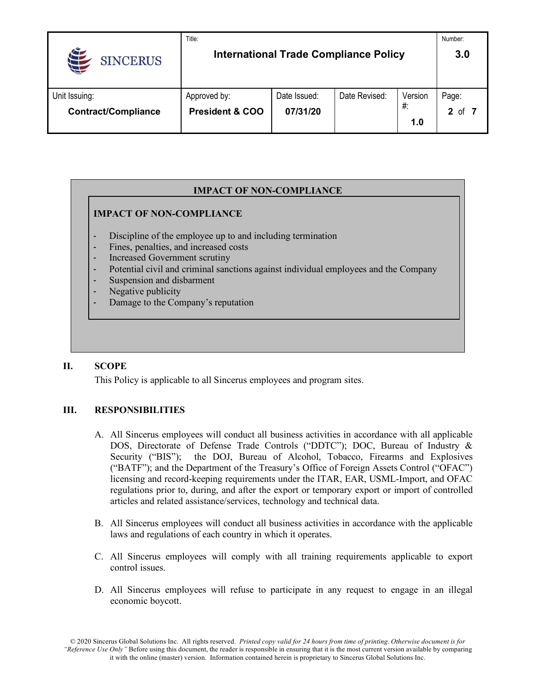|                            | Title:                     |                                              |               |         | Number:           |
|----------------------------|----------------------------|----------------------------------------------|---------------|---------|-------------------|
| <b>SINCERUS</b>            |                            | <b>International Trade Compliance Policy</b> |               |         | 3.0               |
| Unit Issuing:              | Approved by:               | Date Issued:                                 | Date Revised: | Version | Page:             |
| <b>Contract/Compliance</b> | <b>President &amp; COO</b> | 07/31/20                                     |               | $#$ :   | $\mathbf 2$<br>of |
|                            |                            |                                              |               | 1.0     |                   |

# **IMPACT OF NON-COMPLIANCE**

### **IMPACT OF NON-COMPLIANCE**

- Discipline of the employee up to and including termination
- Fines, penalties, and increased costs
- Increased Government scrutiny
- Potential civil and criminal sanctions against individual employees and the Company
- Suspension and disbarment
- Negative publicity
- Damage to the Company's reputation

### **II. SCOPE**

This Policy is applicable to all Sincerus employees and program sites.

### **III. RESPONSIBILITIES**

- A. All Sincerus employees will conduct all business activities in accordance with all applicable DOS, Directorate of Defense Trade Controls ("DDTC"); DOC, Bureau of Industry & Security ("BIS"); the DOJ, Bureau of Alcohol, Tobacco, Firearms and Explosives ("BATF"); and the Department of the Treasury's Office of Foreign Assets Control ("OFAC") licensing and record-keeping requirements under the ITAR, EAR, USML-Import, and OFAC regulations prior to, during, and after the export or temporary export or import of controlled articles and related assistance/services, technology and technical data.
- B. All Sincerus employees will conduct all business activities in accordance with the applicable laws and regulations of each country in which it operates.
- C. All Sincerus employees will comply with all training requirements applicable to export control issues.
- D. All Sincerus employees will refuse to participate in any request to engage in an illegal economic boycott.

© 2020 Sincerus Global Solutions Inc. All rights reserved. *Printed copy valid for 24 hours from time of printing. Otherwise document is for "Reference Use Only"* Before using this document, the reader is responsible in ensuring that it is the most current version available by comparing it with the online (master) version. Information contained herein is proprietary to Sincerus Global Solutions Inc.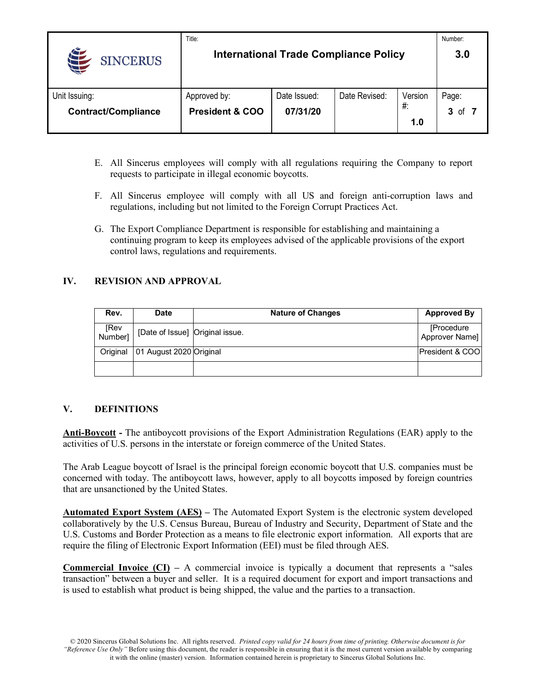|                               | Title:                     |                                              |               |         | Number: |
|-------------------------------|----------------------------|----------------------------------------------|---------------|---------|---------|
| $\epsilon$<br><b>SINCERUS</b> |                            | <b>International Trade Compliance Policy</b> |               |         | 3.0     |
| Unit Issuing:                 | Approved by:               | Date Issued:                                 | Date Revised: | Version | Page:   |
| <b>Contract/Compliance</b>    | <b>President &amp; COO</b> | 07/31/20                                     |               | $#$ :   | 3<br>οf |
|                               |                            |                                              |               | 1.0     |         |

- E. All Sincerus employees will comply with all regulations requiring the Company to report requests to participate in illegal economic boycotts.
- F. All Sincerus employee will comply with all US and foreign anti-corruption laws and regulations, including but not limited to the Foreign Corrupt Practices Act.
- G. The Export Compliance Department is responsible for establishing and maintaining a continuing program to keep its employees advised of the applicable provisions of the export control laws, regulations and requirements.

## **IV. REVISION AND APPROVAL**

| Rev.            | <b>Date</b>                     | <b>Nature of Changes</b> | <b>Approved By</b>           |
|-----------------|---------------------------------|--------------------------|------------------------------|
| [Rev<br>[Number | [Date of Issue] Original issue. |                          | [Procedure<br>Approver Name] |
| Original        | 01 August 2020 Original         |                          | President & COO              |
|                 |                                 |                          |                              |

### **V. DEFINITIONS**

**Anti-Boycott -** The antiboycott provisions of the Export Administration Regulations (EAR) apply to the activities of U.S. persons in the interstate or foreign commerce of the United States.

The Arab League boycott of Israel is the principal foreign economic boycott that U.S. companies must be concerned with today. The antiboycott laws, however, apply to all boycotts imposed by foreign countries that are unsanctioned by the United States.

**Automated Export System (AES) –** The Automated Export System is the electronic system developed collaboratively by the U.S. Census Bureau, Bureau of Industry and Security, Department of State and the U.S. Customs and Border Protection as a means to file electronic export information. All exports that are require the filing of Electronic Export Information (EEI) must be filed through AES.

**Commercial Invoice (CI) –** A commercial invoice is typically a document that represents a "sales transaction" between a buyer and seller. It is a required document for export and import transactions and is used to establish what product is being shipped, the value and the parties to a transaction.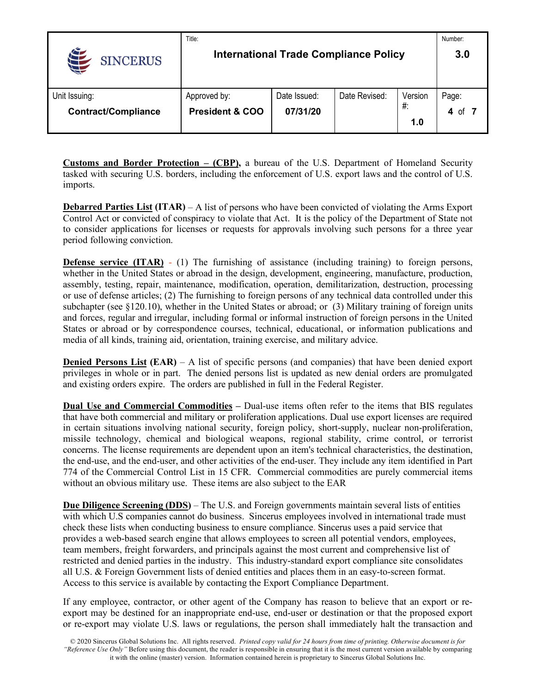|                            | Title:                     |              |                                              |         | Number:  |
|----------------------------|----------------------------|--------------|----------------------------------------------|---------|----------|
| <b>SINCERUS</b>            |                            |              | <b>International Trade Compliance Policy</b> |         | 3.0      |
| Unit Issuing:              | Approved by:               | Date Issued: | Date Revised:                                | Version | Page:    |
| <b>Contract/Compliance</b> | <b>President &amp; COO</b> | 07/31/20     |                                              | #:      | 4<br>ot. |
|                            |                            |              |                                              | 1.0     |          |

**Customs and Border Protection – (CBP),** a bureau of the U.S. Department of Homeland Security tasked with securing U.S. borders, including the enforcement of U.S. export laws and the control of U.S. imports.

**Debarred Parties List (ITAR)** – A list of persons who have been convicted of violating the Arms Export Control Act or convicted of conspiracy to violate that Act. It is the policy of the Department of State not to consider applications for licenses or requests for approvals involving such persons for a three year period following conviction.

**Defense service (ITAR)** - (1) The furnishing of assistance (including training) to foreign persons, whether in the United States or abroad in the design, development, engineering, manufacture, production, assembly, testing, repair, maintenance, modification, operation, demilitarization, destruction, processing or use of defense articles; (2) The furnishing to foreign persons of any technical data controlled under this subchapter (see §120.10), whether in the United States or abroad; or (3) Military training of foreign units and forces, regular and irregular, including formal or informal instruction of foreign persons in the United States or abroad or by correspondence courses, technical, educational, or information publications and media of all kinds, training aid, orientation, training exercise, and military advice.

**Denied Persons List (EAR)** – A list of specific persons (and companies) that have been denied export privileges in whole or in part. The denied persons list is updated as new denial orders are promulgated and existing orders expire. The orders are published in full in the Federal Register.

**Dual Use and Commercial Commodities –** Dual-use items often refer to the items that BIS regulates that have both commercial and military or proliferation applications. Dual use export licenses are required in certain situations involving national security, foreign policy, short-supply, nuclear non-proliferation, missile technology, chemical and biological weapons, regional stability, crime control, or terrorist concerns. The license requirements are dependent upon an item's technical characteristics, the destination, the end-use, and the end-user, and other activities of the end-user. They include any item identified in Part 774 of the Commercial Control List in 15 CFR. Commercial commodities are purely commercial items without an obvious military use. These items are also subject to the EAR

**Due Diligence Screening (DDS)** – The U.S. and Foreign governments maintain several lists of entities with which U.S companies cannot do business. Sincerus employees involved in international trade must check these lists when conducting business to ensure compliance. Sincerus uses a paid service that provides a web-based search engine that allows employees to screen all potential vendors, employees, team members, freight forwarders, and principals against the most current and comprehensive list of restricted and denied parties in the industry. This industry-standard export compliance site consolidates all U.S. & Foreign Government lists of denied entities and places them in an easy-to-screen format. Access to this service is available by contacting the Export Compliance Department.

If any employee, contractor, or other agent of the Company has reason to believe that an export or reexport may be destined for an inappropriate end-use, end-user or destination or that the proposed export or re-export may violate U.S. laws or regulations, the person shall immediately halt the transaction and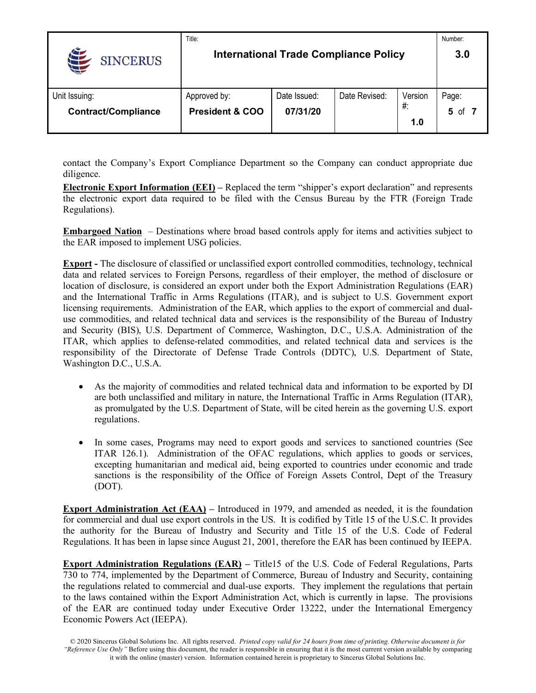|                            | Title:                     |              |                                              |         | Number:  |
|----------------------------|----------------------------|--------------|----------------------------------------------|---------|----------|
| <b>SINCERUS</b>            |                            |              | <b>International Trade Compliance Policy</b> |         | 3.0      |
| Unit Issuing:              | Approved by:               | Date Issued: | Date Revised:                                | Version | Page:    |
| <b>Contract/Compliance</b> | <b>President &amp; COO</b> | 07/31/20     |                                              | #:      | 5<br>ot. |
|                            |                            |              |                                              | 1.0     |          |

contact the Company's Export Compliance Department so the Company can conduct appropriate due diligence.

**Electronic Export Information (EEI) –** Replaced the term "shipper's export declaration" and represents the electronic export data required to be filed with the Census Bureau by the FTR (Foreign Trade Regulations).

**Embargoed Nation** – Destinations where broad based controls apply for items and activities subject to the EAR imposed to implement USG policies.

**Export -** The disclosure of classified or unclassified export controlled commodities, technology, technical data and related services to Foreign Persons, regardless of their employer, the method of disclosure or location of disclosure, is considered an export under both the Export Administration Regulations (EAR) and the International Traffic in Arms Regulations (ITAR), and is subject to U.S. Government export licensing requirements. Administration of the EAR, which applies to the export of commercial and dualuse commodities, and related technical data and services is the responsibility of the Bureau of Industry and Security (BIS), U.S. Department of Commerce, Washington, D.C., U.S.A. Administration of the ITAR, which applies to defense-related commodities, and related technical data and services is the responsibility of the Directorate of Defense Trade Controls (DDTC), U.S. Department of State, Washington D.C., U.S.A.

- As the majority of commodities and related technical data and information to be exported by DI are both unclassified and military in nature, the International Traffic in Arms Regulation (ITAR), as promulgated by the U.S. Department of State, will be cited herein as the governing U.S. export regulations.
- In some cases, Programs may need to export goods and services to sanctioned countries (See ITAR 126.1). Administration of the OFAC regulations, which applies to goods or services, excepting humanitarian and medical aid, being exported to countries under economic and trade sanctions is the responsibility of the Office of Foreign Assets Control, Dept of the Treasury (DOT).

**Export Administration Act (EAA) –** Introduced in 1979, and amended as needed, it is the foundation for commercial and dual use export controls in the US. It is codified by Title 15 of the U.S.C. It provides the authority for the Bureau of Industry and Security and Title 15 of the U.S. Code of Federal Regulations. It has been in lapse since August 21, 2001, therefore the EAR has been continued by IEEPA.

**Export Administration Regulations (EAR) –** Title15 of the U.S. Code of Federal Regulations, Parts 730 to 774, implemented by the Department of Commerce, Bureau of Industry and Security, containing the regulations related to commercial and dual-use exports. They implement the regulations that pertain to the laws contained within the Export Administration Act, which is currently in lapse. The provisions of the EAR are continued today under Executive Order 13222, under the International Emergency Economic Powers Act (IEEPA).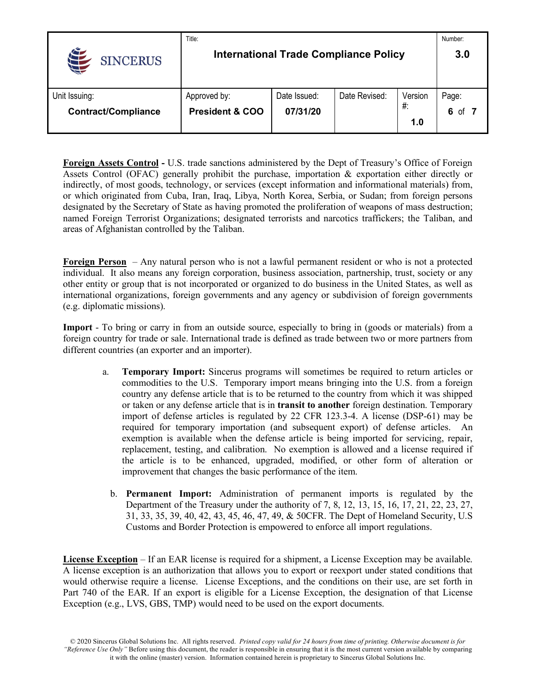|                            | Title:                     |                                              |               |         | Number:   |
|----------------------------|----------------------------|----------------------------------------------|---------------|---------|-----------|
| <b>SINCERUS</b>            |                            | <b>International Trade Compliance Policy</b> |               |         | 3.0       |
| Unit Issuing:              | Approved by:               | Date Issued:                                 | Date Revised: | Version | Page:     |
| <b>Contract/Compliance</b> | <b>President &amp; COO</b> | 07/31/20                                     |               | #:      | 6<br>. of |
|                            |                            |                                              |               | 1.0     |           |

**Foreign Assets Control -** U.S. trade sanctions administered by the Dept of Treasury's Office of Foreign Assets Control (OFAC) generally prohibit the purchase, importation & exportation either directly or indirectly, of most goods, technology, or services (except information and informational materials) from, or which originated from Cuba, Iran, Iraq, Libya, North Korea, Serbia, or Sudan; from foreign persons designated by the Secretary of State as having promoted the proliferation of weapons of mass destruction; named Foreign Terrorist Organizations; designated terrorists and narcotics traffickers; the Taliban, and areas of Afghanistan controlled by the Taliban.

**Foreign Person** – Any natural person who is not a lawful permanent resident or who is not a protected individual. It also means any foreign corporation, business association, partnership, trust, society or any other entity or group that is not incorporated or organized to do business in the United States, as well as international organizations, foreign governments and any agency or subdivision of foreign governments (e.g. diplomatic missions).

**Import** - To bring or carry in from an outside source, especially to bring in (goods or materials) from a foreign country for trade or sale. International trade is defined as trade between two or more partners from different countries (an exporter and an importer).

- a. **Temporary Import:** Sincerus programs will sometimes be required to return articles or commodities to the U.S. Temporary import means bringing into the U.S. from a foreign country any defense article that is to be returned to the country from which it was shipped or taken or any defense article that is in **transit to another** foreign destination. Temporary import of defense articles is regulated by 22 CFR 123.3-4. A license (DSP-61) may be required for temporary importation (and subsequent export) of defense articles. An exemption is available when the defense article is being imported for servicing, repair, replacement, testing, and calibration. No exemption is allowed and a license required if the article is to be enhanced, upgraded, modified, or other form of alteration or improvement that changes the basic performance of the item.
	- b. **Permanent Import:** Administration of permanent imports is regulated by the Department of the Treasury under the authority of 7, 8, 12, 13, 15, 16, 17, 21, 22, 23, 27, 31, 33, 35, 39, 40, 42, 43, 45, 46, 47, 49, & 50CFR. The Dept of Homeland Security, U.S Customs and Border Protection is empowered to enforce all import regulations.

**License Exception** – If an EAR license is required for a shipment, a License Exception may be available. A license exception is an authorization that allows you to export or reexport under stated conditions that would otherwise require a license. License Exceptions, and the conditions on their use, are set forth in Part 740 of the EAR. If an export is eligible for a License Exception, the designation of that License Exception (e.g., LVS, GBS, TMP) would need to be used on the export documents.